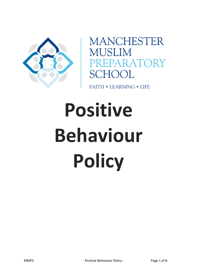

**MANCHESTER MUSLIM** PREPARATORY **SCHOOL** 

**FAITH • LEARNING • LIFE** 

# **Positive Behaviour Policy**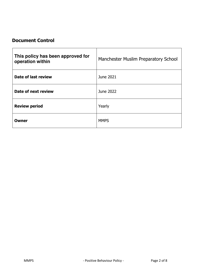# **Document Control**

| This policy has been approved for<br>operation within | Manchester Muslim Preparatory School |
|-------------------------------------------------------|--------------------------------------|
| Date of last review                                   | June 2021                            |
| Date of next review                                   | June 2022                            |
| <b>Review period</b>                                  | Yearly                               |
| Owner                                                 | <b>MMPS</b>                          |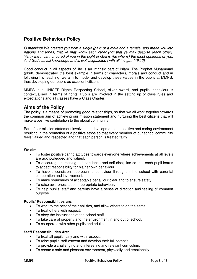# **Positive Behaviour Policy**

*O mankind! We created you from a single (pair) of a male and a female, and made you into nations and tribes, that ye may know each other (not that ye may despise (each other). Verily the most honoured of you in the sight of God is (he who is) the most righteous of you. And God has full knowledge and is well acquainted (with all things). (49:13)* 

Good conduct in all aspects of life is an intrinsic part of Islam. The Prophet Muhammad (pbuh) demonstrated the best example in terms of characters, morals and conduct and in following his teaching; we aim to model and develop these values in the pupils at MMPS, thus developing our pupils as excellent citizens.

MMPS is a UNICEF Rights Respecting School, silver award, and pupils' behaviour is contextualised in terms of rights. Pupils are involved in the setting up of class rules and expectations and all classes have a Class Charter.

# **Aims of the Policy**

The policy is a means of promoting good relationships, so that we all work together towards the common aim of achieving our mission statement and nurturing the best citizens that will make a positive contribution to the global community.

Part of our mission statement involves the development of a positive and caring environment resulting in the promotion of a positive ethos so that every member of our school community feels valued and respected and that each person is treated fairly.

#### **We aim**

- To foster positive caring attitudes towards everyone where achievements at all levels are acknowledged and valued.
- To encourage increasing independence and self-discipline so that each pupil learns to accept responsibility for his/her own behaviour.
- To have a consistent approach to behaviour throughout the school with parental cooperation and involvement.
- To make boundaries of acceptable behaviour clear and to ensure safety.
- To raise awareness about appropriate behaviour.
- To help pupils, staff and parents have a sense of direction and feeling of common purpose.

#### **Pupils' Responsibilities are:**

- To work to the best of their abilities, and allow others to do the same.
- To treat others with respect.
- To obey the instructions of the school staff.
- To take care of property and the environment in and out of school.
- To co-operate with other pupils and adults.

#### **Staff Responsibilities Are:**

- To treat all pupils fairly and with respect.
- To raise pupils' self-esteem and develop their full potential.
- To provide a challenging and interesting and relevant curriculum.
- To create a safe and pleasant environment, physically and emotionally.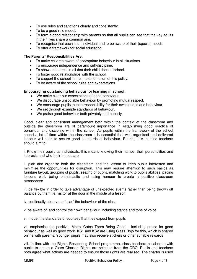- To use rules and sanctions clearly and consistently.
- To be a good role model.
- To form a good relationship with parents so that all pupils can see that the key adults in their lives share a common aim.
- To recognise that each is an individual and to be aware of their (special) needs.
- To offer a framework for social education.

#### **The Parents' Responsibilities Are:**

- To make children aware of appropriate behaviour in all situations.
- To encourage independence and self-discipline.
- To show an interest in all that their child does in school.
- To foster good relationships with the school.
- To support the school in the implementation of this policy.
- To be aware of the school rules and expectations.

#### **Encouraging outstanding behaviour for learning in school:**

- We make clear our expectations of good behaviour.
- We discourage unsociable behaviour by promoting mutual respect.
- We encourage pupils to take responsibility for their own actions and behaviour.
- We set through example standards of behaviour.
- We praise good behaviour both privately and publicly.

Good, clear and consistent management both within the context of the classroom and outside the classroom are of paramount importance in establishing good practice of behaviour and discipline within the school. As pupils within the framework of the school spend a lot of time within the classroom it is essential that well organised and delivered lessons will seek to secure good standards of behaviour. Bearing this in mind teachers should aim to:

i. Know their pupils as individuals, this means knowing their names, their personalities and interests and who their friends are

ii. plan and organise both the classroom and the lesson to keep pupils interested and minimise the opportunities for disruption. This may require attention to such basics as furniture layout, grouping of pupils, seating of pupils, matching work to pupils abilities, pacing lessons well, being enthusiastic and using humour to create a positive classroom atmosphere

iii. be flexible in order to take advantage of unexpected events rather than being thrown off balance by them i.e. visitor at the door in the middle of a lesson

iv. continually observe or 'scan' the behaviour of the class

v. be aware of, and control their own behaviour, including stance and tone of voice

vi. model the standards of courtesy that they expect from pupils

vii. emphasise the positive -Motto 'Catch Them Being Good' - including praise for good behaviour as well as good work. KS1 and KS2 are using Class Dojo for this, which is shared online with parents. Younger pupils may also receive stickers or other suitable rewards

viii. In line with the Rights Respecting School programme, class teachers collaborate with pupils to create a Class Charter. Rights are selected from the CRC. Pupils and teachers both agree what actions are needed to ensure those rights are realised. The charter is used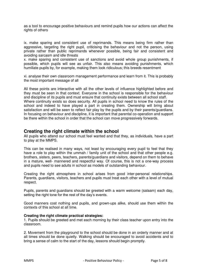as a tool to encourage positive behaviours and remind pupils how our actions can affect the rights of others

ix. make sparing and consistent use of reprimands. This means being firm rather than aggressive, targeting the right pupil, criticising the behaviour and not the person, using private rather than public reprimands whenever possible, being fair and consistent and avoiding sarcasm and idle threats

x. make sparing and consistent use of sanctions and avoid whole group punishments, if possible, which pupils will see as unfair. This also means avoiding punishments, which humiliate pupils by, for example, making them look ridiculous; this breeds resentment

xi. analyse their own classroom management performance and learn from it. This is probably the most important message of all

All these points are interactive with all the other levels of influence highlighted before and they must be seen in that context. Everyone in the school is responsible for the behaviour and discipline of its pupils and must ensure that continuity exists between all school staff. Where continuity exists so does security. All pupils in school need to know the rules of the school and indeed to have played a part in creating them. Ownership will bring about satisfaction and will be seen to reflect fair play by the pupils and by their parents/guardians. In focusing on behaviour and discipline, it is important that parental co-operation and support be there within the school in order that the school can move progressively forwards.

### **Creating the right climate within the school**

All pupils who attend our school must feel wanted and that they, as individuals, have a part to play at the MMPS.

This can be realised in many ways, not least by encouraging every pupil to feel that they have a role to play within the ummah / family unit of the school and that other people e.g. brothers, sisters, peers, teachers, parents/guardians and visitors, depend on them to behave in a mature, well- mannered and respectful way. Of course, this is not a one-way process and pupils need to see adults in school as models of outstanding behaviour.

Creating the right atmosphere in school arises from good inter-personal relationships. Parents, guardians, visitors, teachers and pupils must treat each other with a level of mutual respect.

Pupils, parents and guardians should be greeted with a warm welcome (salaam) each day, setting the right tone for the rest of the day's events.

Good manners cost nothing and pupils, and grown-ups alike, should use them within the contexts of this school at all time.

#### **Creating the right climate practical strategies:**

1. Pupils should be greeted and met each morning by their class teacher upon entry into the classroom.

2. Movement from the playground to the school should be done in an orderly manner and at all times should be done quietly. Walking should be encouraged to avoid accidents and to bring a sense of calm to the start of the day, lessons should begin promptly.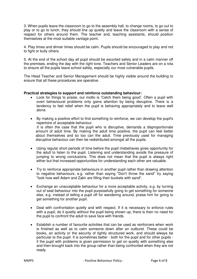3. When pupils leave the classroom to go to the assembly hall, to change rooms, to go out to play or to go to lunch, they should line up quietly and leave the classroom with a sense of respect for others around them. The teacher and, teaching assistants, should position themselves at the most suitable vantage point.

4. Play times and dinner times should be calm. Pupils should be encouraged to play and not to fight or bully others.

5. At the end of the school day all pupil should be escorted safely and in a calm manner off the premises, ending the day with the right tone. Teachers and Senior Leaders are on a rota to ensure all the pupils leave school safely, especially our most vulnerable pupils.

The Head Teacher and Senior Management should be highly visible around the building to ensure that all these procedures are operative.

#### **Practical strategies to support and reinforce outstanding behaviour:**

- Look for things to praise, our motto is 'Catch them being good'. Often a pupil with overt behavioural problems only gains attention by being disruptive. There is a tendency to feel relief when the pupil is behaving appropriately and to leave well alone.
- By making a positive effort to find something to reinforce, we can develop the pupil's repertoire of acceptable behaviour. It is often the case that the pupil who is disruptive, demands a disproportionate amount of adult time. By making the adult time positive, the pupil can feel better about themselves and so too can the adult. Time previously used for managing disruptive behaviour can then be redistributed amongst all the pupils.
- Using regular short periods of time before the pupil misbehaves gives opportunity for the adult to listen to the pupil. Listening and understanding avoids the pressure of jumping to wrong conclusions. This does not mean that the pupil is always right either but that increased opportunities for understanding each other are valuable.
- Try to reinforce appropriate behaviours in another pupil rather than drawing attention to negative behaviours, e.g. rather than saying "Don't throw the sand" try saying "look how well Adam and Zakir are filling their buckets with sand".
- Exchange an unacceptable behaviour for a more acceptable activity, e.g. by turning out of seat behaviour into the pupil purposefully going to get something for someone else, e.g. instead of telling a pupil off for wandering around, praise him for going to get something for another pupil.
- Deal with confrontation quietly and with respect. If it is necessary to enforce rules with a pupil, do it quietly without the pupil being shown up; there is then no need for the pupil to confront the adult to save face with friends.
- Establish a number of favourite activities that can be used as reinforcers when work is finished as well as to calm someone down after an outburst. These could be books, an activity or the security of tightly structured work, and should always be particular to the pupil. It is sometimes better - both for the pupil and for other pupils if the pupil with problems is given permission to get on quietly with something else and then brought back into the group rather than being confronted when they are not ready.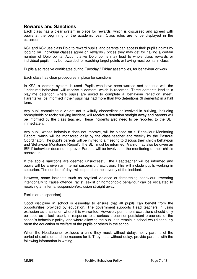# **Rewards and Sanctions**

Each class has a clear system in place for rewards, which is discussed and agreed with pupils at the beginning of the academic year. Class rules are to be displayed in the classroom.

KS1 and KS2 use class Dojo to reward pupils, and parents can access their pupil's points by logging on. Individual classes agree on rewards / prices they may get for having a certain number of Dojo points. Accumulative Dojo points may lead to whole class rewards or individual pupils may be rewarded for reaching target points or having most points in class.

Pupils also receive certificates during Tuesday / Friday assemblies, for behaviour or work.

Each class has clear procedures in place for sanctions.

In KS2, a 'demerit system' is used. Pupils who have been warned and continue with the 'undesired behaviour' will receive a demerit, which is recorded. Three demerits lead to a playtime detention where pupils are asked to complete a 'behaviour reflection sheet'. Parents will be informed if their pupil has had more than two detentions (6 demerits) in a half term.

Any pupil committing a violent act is wilfully disobedient or involved in bullying, including homophobic or racist bullying incident, will receive a detention straight away and parents will be informed by the class teacher. These incidents also need to be reported to the SLT immediately.

Any pupil, whose behaviour does not improve, will be placed on a 'Behaviour Monitoring Report', which will be monitored daily by the class teacher and weekly by the Pastoral Coordinator. The pupil's parents will be invited to a meeting to discuss their child's behaviour and 'Behaviour Monitoring Report'. The SLT must be informed. A child may also be given an IBP if behaviour does not improve. Parents will be involved in the monitoring of their child's behaviour.

If the above sanctions are deemed unsuccessful, the Headteacher will be informed and pupils will be a given an internal suspension/ exclusion. This will include pupils working in seclusion. The number of days will depend on the severity of the incident.

However, some incidents such as physical violence or threatening behaviour, swearing intentionally to cause offence, racist, sexist or homophobic behaviour can be escalated to receiving an internal suspension/exclusion straight away.

#### Exclusion (suspension)

Good discipline in school is essential to ensure that all pupils can benefit from the opportunities provided by education. The government supports Head teachers in using exclusion as a sanction where it is warranted. However, permanent exclusions should only be used as a last resort, in response to a serious breach or persistent breaches, of the school's behaviour policy; and where allowing the pupil a to remain in school would seriously harm the education or welfare of the pupils or others in the school.

When the Headteacher excludes a child they must, without delay, notify parents of the period of exclusion and the reasons for it. They must without delay, provide parents with the following information in writing;